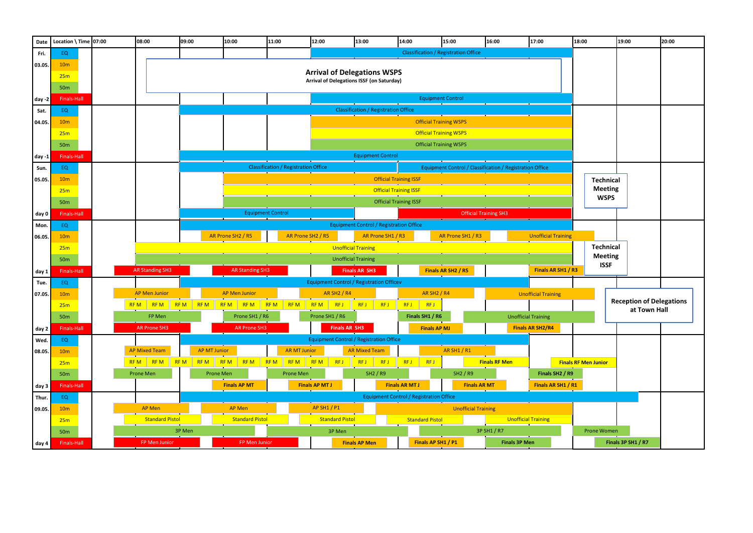| Date     | Location \ Time $07:00$ |                            | 08:00                                                    | 09:00                                                                                                   | 10:00                                          | 11:00       |                     | 12:00                                                                                  | 13:00                                          |                          | 14:00                         |                     | 15:00                                       | 16:00                | 17:00                      | 18:00 |                               | 19:00                                       | 20:00 |
|----------|-------------------------|----------------------------|----------------------------------------------------------|---------------------------------------------------------------------------------------------------------|------------------------------------------------|-------------|---------------------|----------------------------------------------------------------------------------------|------------------------------------------------|--------------------------|-------------------------------|---------------------|---------------------------------------------|----------------------|----------------------------|-------|-------------------------------|---------------------------------------------|-------|
| Fri.     | EQ.                     |                            |                                                          |                                                                                                         |                                                |             |                     |                                                                                        |                                                |                          |                               |                     | <b>Classification / Registration Office</b> |                      |                            |       |                               |                                             |       |
| 03.05.   | 10 <sub>m</sub>         |                            |                                                          |                                                                                                         |                                                |             |                     |                                                                                        |                                                |                          |                               |                     |                                             |                      |                            |       |                               |                                             |       |
|          | 25m                     |                            |                                                          |                                                                                                         |                                                |             |                     | <b>Arrival of Delegations WSPS</b><br><b>Arrival of Delegations ISSF (on Saturday)</b> |                                                |                          |                               |                     |                                             |                      |                            |       |                               |                                             |       |
|          | 50 <sub>m</sub>         |                            |                                                          |                                                                                                         |                                                |             |                     |                                                                                        |                                                |                          |                               |                     |                                             |                      |                            |       |                               |                                             |       |
| day -2   | <b>Finals-Hall</b>      |                            |                                                          |                                                                                                         | <b>Equipment Control</b>                       |             |                     |                                                                                        |                                                |                          |                               |                     |                                             |                      |                            |       |                               |                                             |       |
| Sat.     | EQ                      |                            |                                                          |                                                                                                         |                                                |             |                     |                                                                                        | <b>Classification / Registration Office</b>    |                          |                               |                     |                                             |                      |                            |       |                               |                                             |       |
| 04.05.   | 10 <sub>m</sub>         |                            |                                                          |                                                                                                         |                                                |             |                     |                                                                                        |                                                |                          |                               |                     | <b>Official Training WSPS</b>               |                      |                            |       |                               |                                             |       |
|          | 25m                     |                            |                                                          |                                                                                                         |                                                |             |                     |                                                                                        |                                                |                          |                               |                     | <b>Official Training WSPS</b>               |                      |                            |       |                               |                                             |       |
|          | 50 <sub>m</sub>         |                            |                                                          |                                                                                                         |                                                |             |                     |                                                                                        |                                                |                          |                               |                     | <b>Official Training WSPS</b>               |                      |                            |       |                               |                                             |       |
| day $-1$ | <b>Finals-Hall</b>      |                            |                                                          |                                                                                                         |                                                |             |                     |                                                                                        |                                                | <b>Equipment Control</b> |                               |                     |                                             |                      |                            |       |                               |                                             |       |
| Sun.     | EQ                      |                            |                                                          | <b>Classification / Registration Office</b><br>Equipment Control / Classification / Registration Office |                                                |             |                     |                                                                                        |                                                |                          |                               |                     |                                             |                      |                            |       |                               |                                             |       |
| 05.05.   | 10 <sub>m</sub>         |                            |                                                          |                                                                                                         |                                                |             |                     |                                                                                        |                                                |                          | <b>Official Training ISSF</b> |                     |                                             |                      |                            |       | <b>Technical</b>              |                                             |       |
|          | 25m                     |                            |                                                          |                                                                                                         |                                                |             |                     |                                                                                        |                                                |                          | <b>Official Training ISSF</b> |                     |                                             |                      |                            |       | <b>Meeting</b>                |                                             |       |
|          | 50 <sub>m</sub>         |                            |                                                          |                                                                                                         |                                                |             |                     |                                                                                        |                                                |                          | <b>Official Training ISSF</b> |                     |                                             |                      |                            |       | <b>WSPS</b>                   |                                             |       |
| day 0    | Finals-Hall             |                            | <b>Equipment Control</b><br><b>Official Training SH3</b> |                                                                                                         |                                                |             |                     |                                                                                        |                                                |                          |                               |                     |                                             |                      |                            |       |                               |                                             |       |
| Mon.     | EQ                      |                            |                                                          |                                                                                                         |                                                |             |                     |                                                                                        | <b>Equipment Control / Registration Office</b> |                          |                               |                     |                                             |                      |                            |       |                               |                                             |       |
| 06.05.   | 10 <sub>m</sub>         |                            |                                                          |                                                                                                         | AR Prone SH2 / R5                              |             | AR Prone SH2 / R5   |                                                                                        |                                                | AR Prone SH1 / R3        |                               |                     | AR Prone SH1 / R3                           |                      | <b>Unofficial Training</b> |       |                               |                                             |       |
|          | 25m                     | <b>Unofficial Training</b> |                                                          |                                                                                                         |                                                |             |                     |                                                                                        |                                                |                          |                               |                     |                                             |                      | <b>Technical</b>           |       |                               |                                             |       |
|          | 50 <sub>m</sub>         |                            |                                                          |                                                                                                         |                                                |             |                     |                                                                                        | <b>Unofficial Training</b>                     |                          |                               |                     |                                             |                      |                            |       | <b>Meeting</b><br><b>ISSF</b> |                                             |       |
| day 1    | Finals-Hall             |                            | <b>AR Standing SH3</b>                                   |                                                                                                         | <b>AR Standing SH3</b>                         |             |                     |                                                                                        | <b>Finals AR SH3</b>                           |                          |                               |                     | Finals AR SH <sub>2</sub> / R <sub>5</sub>  |                      | Finals AR SH1 / R3         |       |                               |                                             |       |
| Tue.     | EQ.                     |                            |                                                          |                                                                                                         |                                                |             |                     | <b>Equipment Control / Registration Officev</b>                                        |                                                |                          |                               |                     |                                             |                      |                            |       |                               |                                             |       |
| 07.05.   | 10 <sub>m</sub>         |                            | <b>AP Men Junior</b>                                     |                                                                                                         | <b>AP Men Junior</b>                           |             |                     | <b>AR SH2 / R4</b>                                                                     |                                                |                          |                               | <b>AR SH2 / R4</b>  |                                             |                      | <b>Unofficial Training</b> |       |                               |                                             |       |
|          | 25m                     |                            | <b>RFM</b><br><b>RFM</b>                                 | RFM RFM                                                                                                 | RFM                                            | RFM RFM RFM |                     | <b>RFM</b><br>RF J                                                                     | RFJ                                            | <b>RFJ</b>               | RF J                          | RFJ                 |                                             |                      |                            |       |                               | <b>Reception of Delegat</b><br>at Town Hall |       |
|          | <b>50m</b>              |                            | FP Men                                                   |                                                                                                         | Prone SH1 / R6                                 |             |                     | Prone SH1 / R6                                                                         |                                                |                          |                               | Finals SH1 / R6     |                                             |                      | <b>Unofficial Training</b> |       |                               |                                             |       |
| day 2    | Finals-Hall             |                            | <b>AR Prone SH3</b>                                      |                                                                                                         | <b>AR Prone SH3</b>                            |             |                     | <b>Finals AR SH3</b>                                                                   |                                                |                          |                               | <b>Finals AP MJ</b> |                                             |                      | <b>Finals AR SH2/R4</b>    |       |                               |                                             |       |
| Wed.     | EQ                      |                            |                                                          |                                                                                                         |                                                |             |                     | <b>Equipment Control / Registration Office</b>                                         |                                                |                          |                               |                     |                                             |                      |                            |       |                               |                                             |       |
| 08.05.   | 10 <sub>m</sub>         |                            | <b>AP Mixed Team</b>                                     | <b>AP MT Junior</b>                                                                                     |                                                |             | <b>AR MT Junior</b> |                                                                                        | <b>AR Mixed Team</b>                           |                          |                               |                     | AR SH1 / R1                                 |                      |                            |       |                               |                                             |       |
|          | 25m                     |                            |                                                          |                                                                                                         | RFM RFM RFM RFM RFM RFM RFM RFM RFM RFJ        |             |                     |                                                                                        | RFJ RFJ                                        |                          | RFJ                           | RF J                |                                             | <b>Finals RF Men</b> |                            |       | <b>Finals RF Men Junior</b>   |                                             |       |
|          | 50 <sub>m</sub>         |                            | Prone Men                                                |                                                                                                         | Prone Men                                      |             | Prone Men           |                                                                                        |                                                | <b>SH2 / R9</b>          |                               |                     | SH2 / R9                                    |                      | Finals SH2 / R9            |       |                               |                                             |       |
| day 3    | Finals-Hall             |                            |                                                          |                                                                                                         | <b>Finals AP MT</b>                            |             |                     | <b>Finals AP MT J</b>                                                                  |                                                |                          | <b>Finals AR MT J</b>         |                     |                                             | <b>Finals AR MT</b>  | Finals AR SH1 / R1         |       |                               |                                             |       |
| Thur.    | EQ                      |                            |                                                          |                                                                                                         | <b>Equipment Control / Registration Office</b> |             |                     |                                                                                        |                                                |                          |                               |                     |                                             |                      |                            |       |                               |                                             |       |
| 09.05.   | 10 <sub>m</sub>         |                            | AP Men                                                   |                                                                                                         | AP Men                                         |             |                     | <b>AP SH1 / P1</b>                                                                     |                                                |                          |                               |                     | <b>Unofficial Training</b>                  |                      |                            |       |                               |                                             |       |
|          | 25m                     |                            | <b>Standard Pistol</b>                                   |                                                                                                         | <b>Standard Pistol</b>                         |             |                     | <b>Standard Pistol</b>                                                                 |                                                |                          | <b>Standard Pistol</b>        |                     |                                             |                      | <b>Unofficial Training</b> |       |                               |                                             |       |
|          | <b>50m</b>              |                            |                                                          | 3P Men                                                                                                  |                                                |             |                     | 3P Men                                                                                 |                                                |                          |                               |                     |                                             | 3P SH1 / R7          |                            |       | Prone Women                   |                                             |       |
| day 4    | <b>Finals-Hall</b>      |                            | FP Men Junior                                            |                                                                                                         | FP Men Junior                                  |             |                     |                                                                                        | <b>Finals AP Men</b>                           |                          |                               | Finals AP SH1 / P1  |                                             |                      | <b>Finals 3P Men</b>       |       |                               | Finals 3P SH1 / R7                          |       |